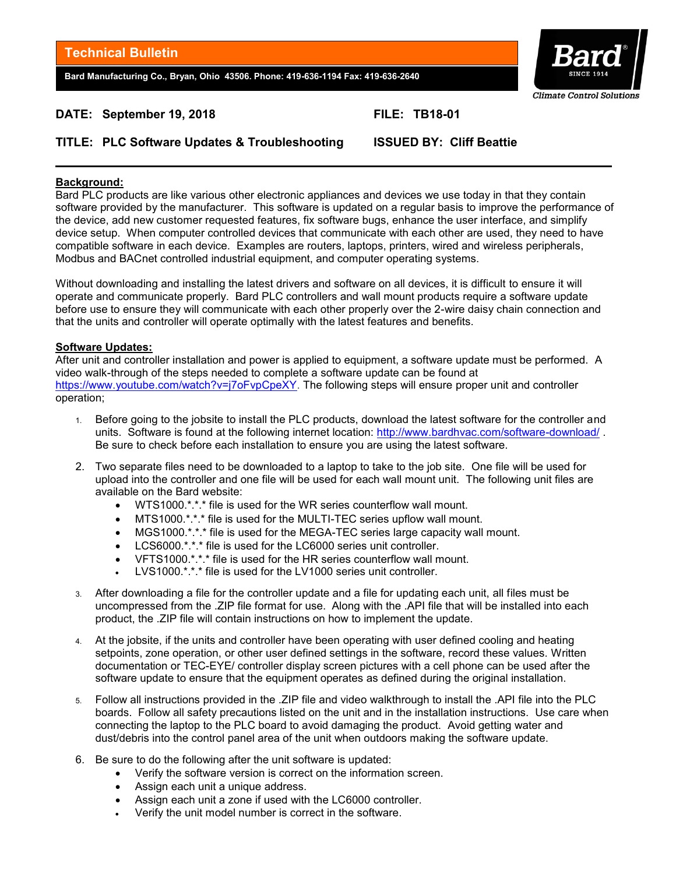**Bard Manufacturing Co., Bryan, Ohio 43506. Phone: 419-636-1194 Fax: 419-636-2640**



# **DATE: September 19, 2018** FILE: TB18-01

# **TITLE: PLC Software Updates & Troubleshooting ISSUED BY: Cliff Beattie**

### **Background:**

Bard PLC products are like various other electronic appliances and devices we use today in that they contain software provided by the manufacturer. This software is updated on a regular basis to improve the performance of the device, add new customer requested features, fix software bugs, enhance the user interface, and simplify device setup. When computer controlled devices that communicate with each other are used, they need to have compatible software in each device. Examples are routers, laptops, printers, wired and wireless peripherals, Modbus and BACnet controlled industrial equipment, and computer operating systems.

Without downloading and installing the latest drivers and software on all devices, it is difficult to ensure it will operate and communicate properly. Bard PLC controllers and wall mount products require a software update before use to ensure they will communicate with each other properly over the 2-wire daisy chain connection and that the units and controller will operate optimally with the latest features and benefits.

#### **Software Updates:**

After unit and controller installation and power is applied to equipment, a software update must be performed. A video walk-through of the steps needed to complete a software update can be found at https://www.youtube.com/watch?v=j7oFvpCpeXY. The following steps will ensure proper unit and controller operation;

- 1. Before going to the jobsite to install the PLC products, download the latest software for the controller and units. Software is found at the following internet location:<http://www.bardhvac.com/software-download/> . Be sure to check before each installation to ensure you are using the latest software.
- 2. Two separate files need to be downloaded to a laptop to take to the job site. One file will be used for upload into the controller and one file will be used for each wall mount unit. The following unit files are available on the Bard website:
	- WTS1000.\*.\*.\* file is used for the WR series counterflow wall mount.
	- MTS1000.\*.\*.\* file is used for the MULTI-TEC series upflow wall mount.
	- MGS1000.\*.\*.\* file is used for the MEGA-TEC series large capacity wall mount.
	- LCS6000.\*.\*.\* file is used for the LC6000 series unit controller.
	- VFTS1000.\*.\*.\* file is used for the HR series counterflow wall mount.
	- LVS1000.\*.\*.\* file is used for the LV1000 series unit controller.
- 3. After downloading a file for the controller update and a file for updating each unit, all files must be uncompressed from the .ZIP file format for use. Along with the .API file that will be installed into each product, the .ZIP file will contain instructions on how to implement the update.
- 4. At the jobsite, if the units and controller have been operating with user defined cooling and heating setpoints, zone operation, or other user defined settings in the software, record these values. Written documentation or TEC-EYE/ controller display screen pictures with a cell phone can be used after the software update to ensure that the equipment operates as defined during the original installation.
- 5. Follow all instructions provided in the .ZIP file and video walkthrough to install the .API file into the PLC boards. Follow all safety precautions listed on the unit and in the installation instructions. Use care when connecting the laptop to the PLC board to avoid damaging the product. Avoid getting water and dust/debris into the control panel area of the unit when outdoors making the software update.
- 6. Be sure to do the following after the unit software is updated:
	- Verify the software version is correct on the information screen.
	- Assign each unit a unique address.
	- Assign each unit a zone if used with the LC6000 controller.
	- Verify the unit model number is correct in the software.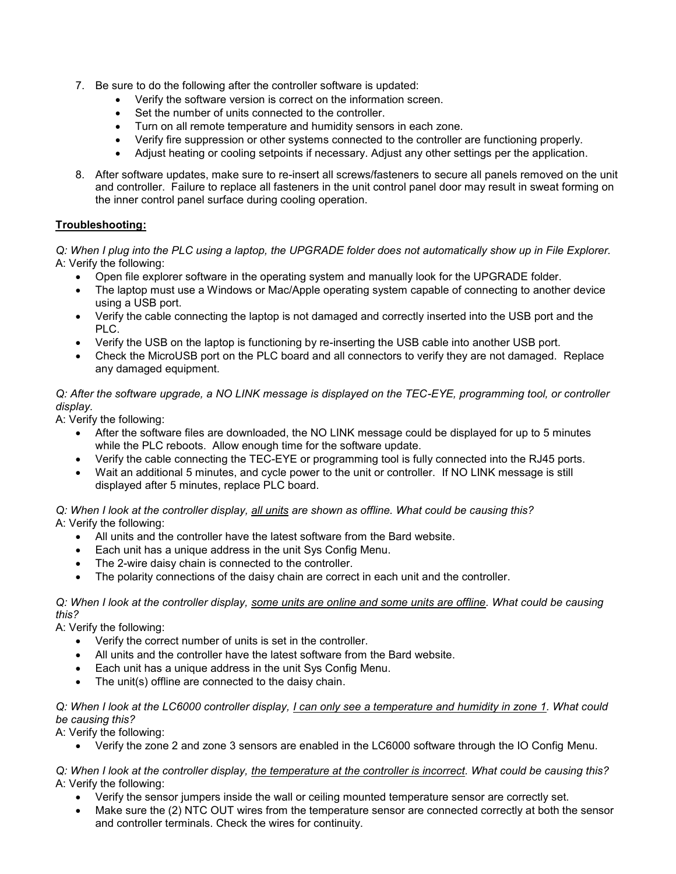- 7. Be sure to do the following after the controller software is updated:
	- Verify the software version is correct on the information screen.
	- Set the number of units connected to the controller.
	- Turn on all remote temperature and humidity sensors in each zone.
	- Verify fire suppression or other systems connected to the controller are functioning properly.
	- Adjust heating or cooling setpoints if necessary. Adjust any other settings per the application.
- 8. After software updates, make sure to re-insert all screws/fasteners to secure all panels removed on the unit and controller. Failure to replace all fasteners in the unit control panel door may result in sweat forming on the inner control panel surface during cooling operation.

# **Troubleshooting:**

*Q: When I plug into the PLC using a laptop, the UPGRADE folder does not automatically show up in File Explorer.*  A: Verify the following:

- Open file explorer software in the operating system and manually look for the UPGRADE folder.
- The laptop must use a Windows or Mac/Apple operating system capable of connecting to another device using a USB port.
- Verify the cable connecting the laptop is not damaged and correctly inserted into the USB port and the PLC.
- Verify the USB on the laptop is functioning by re-inserting the USB cable into another USB port.
- Check the MicroUSB port on the PLC board and all connectors to verify they are not damaged. Replace any damaged equipment.

### *Q: After the software upgrade, a NO LINK message is displayed on the TEC-EYE, programming tool, or controller display.*

A: Verify the following:

- After the software files are downloaded, the NO LINK message could be displayed for up to 5 minutes while the PLC reboots. Allow enough time for the software update.
- Verify the cable connecting the TEC-EYE or programming tool is fully connected into the RJ45 ports.
- Wait an additional 5 minutes, and cycle power to the unit or controller. If NO LINK message is still displayed after 5 minutes, replace PLC board.

#### *Q: When I look at the controller display, all units are shown as offline. What could be causing this?*  A: Verify the following:

- All units and the controller have the latest software from the Bard website.
- Each unit has a unique address in the unit Sys Config Menu.
- The 2-wire daisy chain is connected to the controller.
- The polarity connections of the daisy chain are correct in each unit and the controller.

## *Q: When I look at the controller display, some units are online and some units are offline. What could be causing this?*

A: Verify the following:

- Verify the correct number of units is set in the controller.
- All units and the controller have the latest software from the Bard website.
- Each unit has a unique address in the unit Sys Config Menu.
- The unit(s) offline are connected to the daisy chain.

## *Q: When I look at the LC6000 controller display, I can only see a temperature and humidity in zone 1. What could be causing this?*

A: Verify the following:

Verify the zone 2 and zone 3 sensors are enabled in the LC6000 software through the IO Config Menu.

#### *Q: When I look at the controller display, the temperature at the controller is incorrect. What could be causing this?*  A: Verify the following:

- Verify the sensor jumpers inside the wall or ceiling mounted temperature sensor are correctly set.
- Make sure the (2) NTC OUT wires from the temperature sensor are connected correctly at both the sensor and controller terminals. Check the wires for continuity.